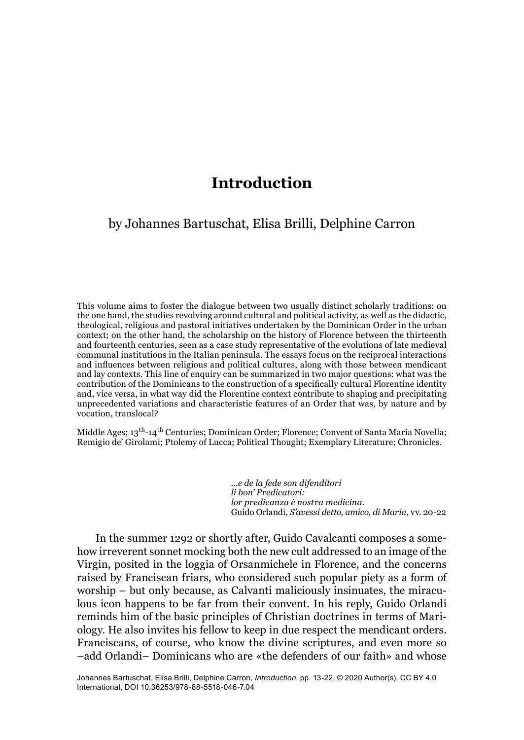## **Introduction**

## by Johannes Bartuschat, Elisa Brilli, Delphine Carron

This volume aims to foster the dialogue between two usually distinct scholarly traditions: on the one hand, the studies revolving around cultural and political activity, as well as the didactic, theological, religious and pastoral initiatives undertaken by the Dominican Order in the urban context; on the other hand, the scholarship on the history of Florence between the thirteenth and fourteenth centuries, seen as a case study representative of the evolutions of late medieval communal institutions in the Italian peninsula. The essays focus on the reciprocal interactions and influences between religious and political cultures, along with those between mendicant and lay contexts. This line of enquiry can be summarized in two major questions: what was the contribution of the Dominicans to the construction of a specifically cultural Florentine identity and, vice versa, in what way did the Florentine context contribute to shaping and precipitating unprecedented variations and characteristic features of an Order that was, by nature and by vocation, translocal?

Middle Ages;  $13<sup>th</sup>-14<sup>th</sup>$  Centuries; Dominican Order; Florence; Convent of Santa Maria Novella; Remigio de' Girolami; Ptolemy of Lucca; Political Thought; Exemplary Literature; Chronicles.

> *...e de la fede son difenditori li bon' Predicatori: lor predicanza è nostra medicina*. Guido Orlandi, *S'avessi detto, amico, di Maria*, vv. 20-22

In the summer 1292 or shortly after, Guido Cavalcanti composes a somehow irreverent sonnet mocking both the new cult addressed to an image of the Virgin, posited in the loggia of Orsanmichele in Florence, and the concerns raised by Franciscan friars, who considered such popular piety as a form of worship – but only because, as Calvanti maliciously insinuates, the miraculous icon happens to be far from their convent. In his reply, Guido Orlandi reminds him of the basic principles of Christian doctrines in terms of Mariology. He also invites his fellow to keep in due respect the mendicant orders. Franciscans, of course, who know the divine scriptures, and even more so –add Orlandi– Dominicans who are «the defenders of our faith» and whose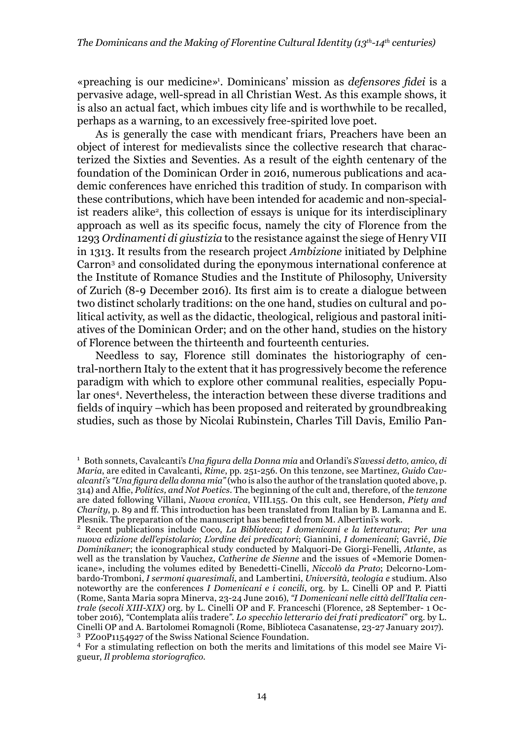«preaching is our medicine»1 . Dominicans' mission as *defensores fidei* is a pervasive adage, well-spread in all Christian West. As this example shows, it is also an actual fact, which imbues city life and is worthwhile to be recalled, perhaps as a warning, to an excessively free-spirited love poet.

As is generally the case with mendicant friars, Preachers have been an object of interest for medievalists since the collective research that characterized the Sixties and Seventies. As a result of the eighth centenary of the foundation of the Dominican Order in 2016, numerous publications and academic conferences have enriched this tradition of study. In comparison with these contributions, which have been intended for academic and non-specialist readers alike2, this collection of essays is unique for its interdisciplinary approach as well as its specific focus, namely the city of Florence from the 1293 *Ordinamenti di giustizia* to the resistance against the siege of Henry VII in 1313. It results from the research project *Ambizione* initiated by Delphine Carron3 and consolidated during the eponymous international conference at the Institute of Romance Studies and the Institute of Philosophy, University of Zurich (8-9 December 2016). Its first aim is to create a dialogue between two distinct scholarly traditions: on the one hand, studies on cultural and political activity, as well as the didactic, theological, religious and pastoral initiatives of the Dominican Order; and on the other hand, studies on the history of Florence between the thirteenth and fourteenth centuries.

Needless to say, Florence still dominates the historiography of central-northern Italy to the extent that it has progressively become the reference paradigm with which to explore other communal realities, especially Popular ones<sup>4</sup>. Nevertheless, the interaction between these diverse traditions and fields of inquiry –which has been proposed and reiterated by groundbreaking studies, such as those by Nicolai Rubinstein, Charles Till Davis, Emilio Pan-

<sup>1</sup> Both sonnets, Cavalcanti's *Una figura della Donna mia* and Orlandi's *S'avessi detto, amico, di Maria*, are edited in Cavalcanti, *Rime*, pp. 251-256. On this tenzone, see Martinez, *Guido Cavalcanti's "Una figura della donna mia"* (who is also the author of the translation quoted above, p. 314) and Alfie, *Politics, and Not Poetics*. The beginning of the cult and, therefore, of the *tenzone* are dated following Villani, *Nuova cronica*, VIII.155. On this cult, see Henderson, *Piety and Charity*, p. 89 and ff. This introduction has been translated from Italian by B. Lamanna and E. Plesnik. The preparation of the manuscript has benefitted from M. Albertini's work.

<sup>2</sup> Recent publications include Coco, *La Biblioteca*; *I domenicani e la letteratura*; *Per una nuova edizione dell'epistolario*; *L'ordine dei predicatori*; Giannini, *I domenicani*; Gavrić, *Die Dominikaner*; the iconographical study conducted by Malquori-De Giorgi-Fenelli, *Atlante*, as well as the translation by Vauchez, *Catherine de Sienne* and the issues of «Memorie Domenicane», including the volumes edited by Benedetti-Cinelli, *Niccolò da Prato*; Delcorno-Lombardo-Tromboni, *I sermoni quaresimali*, and Lambertini, *Università, teologia e* studium. Also noteworthy are the conferences *I Domenicani e i concili*, org. by L. Cinelli OP and P. Piatti (Rome, Santa Maria sopra Minerva, 23-24 June 2016), *"I Domenicani nelle città dell'Italia centrale (secoli XIII-XIX)* org. by L. Cinelli OP and F. Franceschi (Florence, 28 September- 1 October 2016), *"*Contemplata aliis tradere*"*. *Lo specchio letterario dei frati predicatori*" org. by L. Cinelli OP and A. Bartolomei Romagnoli (Rome, Biblioteca Casanatense, 23-27 January 2017).<br><sup>3</sup> PZ00P1154927 of the Swiss National Science Foundation.

<sup>&</sup>lt;sup>4</sup> For a stimulating reflection on both the merits and limitations of this model see Maire Vigueur, *Il problema storiografico*.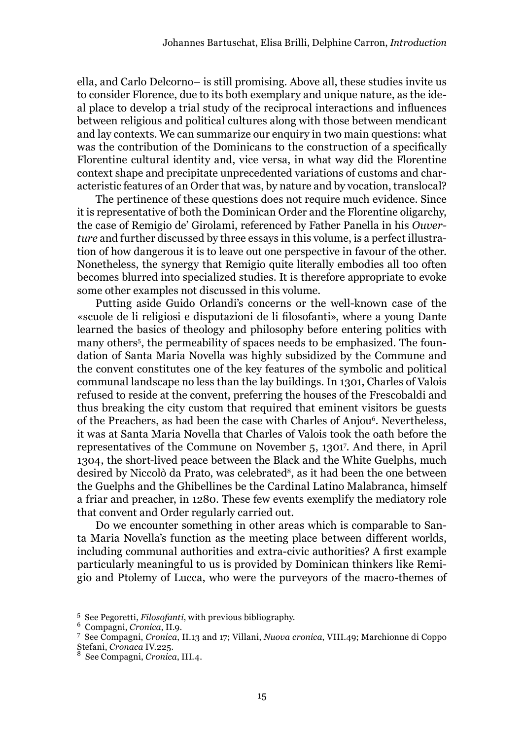ella, and Carlo Delcorno– is still promising. Above all, these studies invite us to consider Florence, due to its both exemplary and unique nature, as the ideal place to develop a trial study of the reciprocal interactions and influences between religious and political cultures along with those between mendicant and lay contexts. We can summarize our enquiry in two main questions: what was the contribution of the Dominicans to the construction of a specifically Florentine cultural identity and, vice versa, in what way did the Florentine context shape and precipitate unprecedented variations of customs and characteristic features of an Order that was, by nature and by vocation, translocal?

The pertinence of these questions does not require much evidence. Since it is representative of both the Dominican Order and the Florentine oligarchy, the case of Remigio de' Girolami, referenced by Father Panella in his *Ouverture* and further discussed by three essays in this volume, is a perfect illustration of how dangerous it is to leave out one perspective in favour of the other. Nonetheless, the synergy that Remigio quite literally embodies all too often becomes blurred into specialized studies. It is therefore appropriate to evoke some other examples not discussed in this volume.

Putting aside Guido Orlandi's concerns or the well-known case of the «scuole de li religiosi e disputazioni de li filosofanti», where a young Dante learned the basics of theology and philosophy before entering politics with many others5 , the permeability of spaces needs to be emphasized. The foundation of Santa Maria Novella was highly subsidized by the Commune and the convent constitutes one of the key features of the symbolic and political communal landscape no less than the lay buildings. In 1301, Charles of Valois refused to reside at the convent, preferring the houses of the Frescobaldi and thus breaking the city custom that required that eminent visitors be guests of the Preachers, as had been the case with Charles of Anjou<sup>6</sup>. Nevertheless, it was at Santa Maria Novella that Charles of Valois took the oath before the representatives of the Commune on November 5, 13017 . And there, in April 1304, the short-lived peace between the Black and the White Guelphs, much desired by Niccolò da Prato, was celebrated<sup>8</sup>, as it had been the one between the Guelphs and the Ghibellines be the Cardinal Latino Malabranca, himself a friar and preacher, in 1280. These few events exemplify the mediatory role that convent and Order regularly carried out.

Do we encounter something in other areas which is comparable to Santa Maria Novella's function as the meeting place between different worlds, including communal authorities and extra-civic authorities? A first example particularly meaningful to us is provided by Dominican thinkers like Remigio and Ptolemy of Lucca, who were the purveyors of the macro-themes of

<sup>5</sup> See Pegoretti, *Filosofanti*, with previous bibliography. <sup>6</sup> Compagni, *Cronica*, II.9. <sup>7</sup> See Compagni, *Cronica*, II.13 and 17; Villani, *Nuova cronica*, VIII.49; Marchionne di Coppo Stefani, *Cronaca* IV.225. <sup>8</sup> See Compagni, *Cronica*, III.4.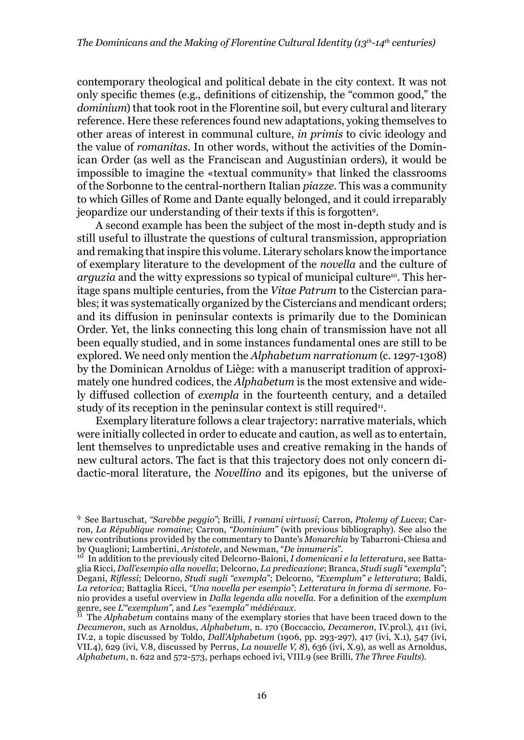contemporary theological and political debate in the city context. It was not only specific themes (e.g., definitions of citizenship, the "common good," the *dominium*) that took root in the Florentine soil, but every cultural and literary reference. Here these references found new adaptations, yoking themselves to other areas of interest in communal culture, *in primis* to civic ideology and the value of *romanitas*. In other words, without the activities of the Dominican Order (as well as the Franciscan and Augustinian orders), it would be impossible to imagine the «textual community» that linked the classrooms of the Sorbonne to the central-northern Italian *piazze*. This was a community to which Gilles of Rome and Dante equally belonged, and it could irreparably jeopardize our understanding of their texts if this is forgotten9.

A second example has been the subject of the most in-depth study and is still useful to illustrate the questions of cultural transmission, appropriation and remaking that inspire this volume. Literary scholars know the importance of exemplary literature to the development of the *novella* and the culture of *arguzia* and the witty expressions so typical of municipal culture<sup>10</sup>. This heritage spans multiple centuries, from the *Vitae Patrum* to the Cistercian parables; it was systematically organized by the Cistercians and mendicant orders; and its diffusion in peninsular contexts is primarily due to the Dominican Order. Yet, the links connecting this long chain of transmission have not all been equally studied, and in some instances fundamental ones are still to be explored. We need only mention the *Alphabetum narrationum* (c. 1297-1308) by the Dominican Arnoldus of Liège: with a manuscript tradition of approximately one hundred codices, the *Alphabetum* is the most extensive and widely diffused collection of *exempla* in the fourteenth century, and a detailed study of its reception in the peninsular context is still required<sup>11</sup>.

Exemplary literature follows a clear trajectory: narrative materials, which were initially collected in order to educate and caution, as well as to entertain, lent themselves to unpredictable uses and creative remaking in the hands of new cultural actors. The fact is that this trajectory does not only concern didactic-moral literature, the *Novellino* and its epigones, but the universe of

<sup>9</sup> See Bartuschat, *"Sarebbe peggio"*; Brilli, *I romani virtuosi*; Carron, *Ptolemy of Lucca*; Carron, *La République romaine*; Carron, *"Dominium"* (with previous bibliography). See also the new contributions provided by the commentary to Dante's *Monarchia* by Tabarroni-Chiesa and

<sup>&</sup>lt;sup>10</sup> In addition to the previously cited Delcorno-Baioni, *I domenicani e la letteratura*, see Battaglia Ricci, *Dall'esempio alla novella*; Delcorno, *La predicazione*; Branca, *Studi sugli* "*exempla*"; Degani, *Riflessi*; Delcorno, *Studi sugli "exempla*"; Delcorno, *"Exemplum" e letteratura*; Baldi, *La retorica*; Battaglia Ricci, *"Una novella per esempio"*; *Letteratura in forma di sermone*. Fonio provides a useful overview in *Dalla legenda alla novella*. For a definition of the *exemplum*  genre, see *L'"exemplum"*, and *Les* "*exempla" médiévaux*.<br><sup>11</sup> The *Alphabetum* contains many of the exemplary stories that have been traced down to the

*Decameron*, such as Arnoldus, *Alphabetum*, n. 170 (Boccaccio, *Decameron*, IV.prol.), 411 (ivi, IV.2, a topic discussed by Toldo, *Dall'Alphabetum* (1906, pp. 293-297), 417 (ivi, X.1), 547 (ivi, VII.4), 629 (ivi, V.8, discussed by Perrus, *La nouvelle V, 8*), 636 (ivi, X.9), as well as Arnoldus, *Alphabetum*, n. 622 and 572-573, perhaps echoed ivi, VIII.9 (see Brilli, *The Three Faults*).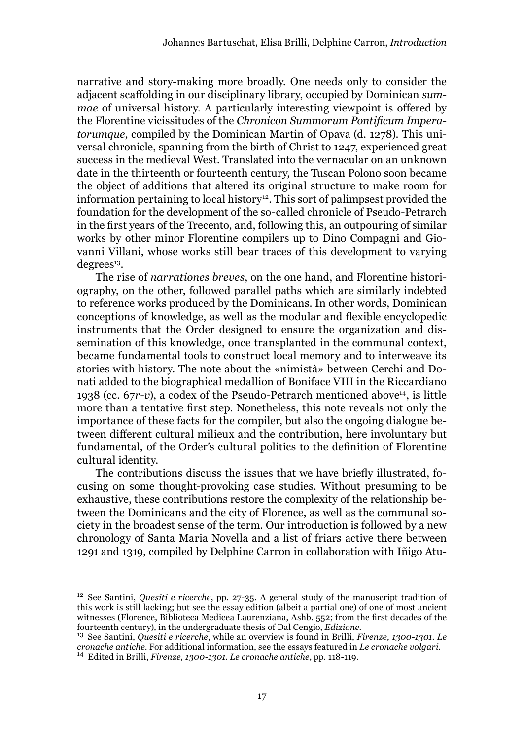narrative and story-making more broadly. One needs only to consider the adjacent scaffolding in our disciplinary library, occupied by Dominican *summae* of universal history. A particularly interesting viewpoint is offered by the Florentine vicissitudes of the *Chronicon Summorum Pontificum Imperatorumque*, compiled by the Dominican Martin of Opava (d. 1278). This universal chronicle, spanning from the birth of Christ to 1247, experienced great success in the medieval West. Translated into the vernacular on an unknown date in the thirteenth or fourteenth century, the Tuscan Polono soon became the object of additions that altered its original structure to make room for information pertaining to local history<sup>12</sup>. This sort of palimpsest provided the foundation for the development of the so-called chronicle of Pseudo-Petrarch in the first years of the Trecento, and, following this, an outpouring of similar works by other minor Florentine compilers up to Dino Compagni and Giovanni Villani, whose works still bear traces of this development to varying degrees<sup>13</sup>.

The rise of *narrationes breves*, on the one hand, and Florentine historiography, on the other, followed parallel paths which are similarly indebted to reference works produced by the Dominicans. In other words, Dominican conceptions of knowledge, as well as the modular and flexible encyclopedic instruments that the Order designed to ensure the organization and dissemination of this knowledge, once transplanted in the communal context, became fundamental tools to construct local memory and to interweave its stories with history. The note about the «nimistà» between Cerchi and Donati added to the biographical medallion of Boniface VIII in the Riccardiano 1938 (cc. 67*r-v*), a codex of the Pseudo-Petrarch mentioned above14, is little more than a tentative first step. Nonetheless, this note reveals not only the importance of these facts for the compiler, but also the ongoing dialogue between different cultural milieux and the contribution, here involuntary but fundamental, of the Order's cultural politics to the definition of Florentine cultural identity.

The contributions discuss the issues that we have briefly illustrated, focusing on some thought-provoking case studies. Without presuming to be exhaustive, these contributions restore the complexity of the relationship between the Dominicans and the city of Florence, as well as the communal society in the broadest sense of the term. Our introduction is followed by a new chronology of Santa Maria Novella and a list of friars active there between 1291 and 1319, compiled by Delphine Carron in collaboration with Iñigo Atu-

<sup>12</sup> See Santini, *Quesiti e ricerche*, pp. 27-35. A general study of the manuscript tradition of this work is still lacking; but see the essay edition (albeit a partial one) of one of most ancient witnesses (Florence, Biblioteca Medicea Laurenziana, Ashb. 552; from the first decades of the fourteenth century), in the undergraduate thesis of Dal Cengio, *Edizione*.

<sup>&</sup>lt;sup>13</sup> See Santini, *Quesiti e ricerche*, while an overview is found in Brilli, *Firenze*, 1300-1301. Le *cronache antiche*. For additional information, see the essays featured in *Le cronache volgari*. <sup>14</sup> Edited in Brilli, *Firenze, 1300-1301. Le cronache antiche*, pp. 118-119.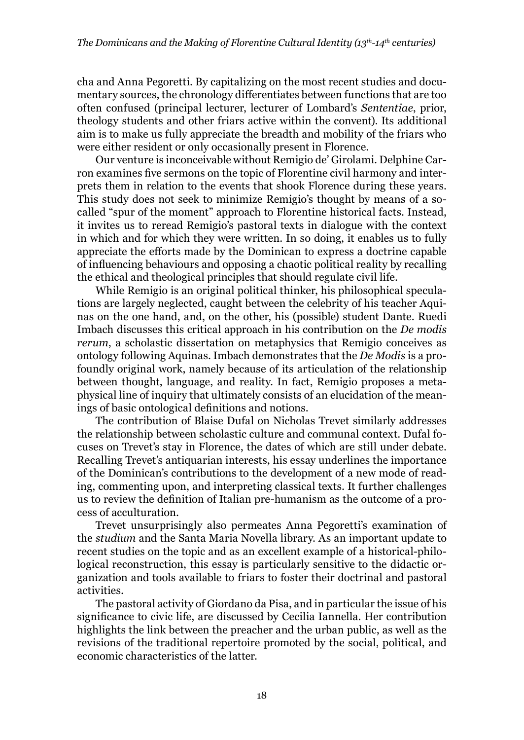cha and Anna Pegoretti. By capitalizing on the most recent studies and documentary sources, the chronology differentiates between functions that are too often confused (principal lecturer, lecturer of Lombard's *Sententiae*, prior, theology students and other friars active within the convent). Its additional aim is to make us fully appreciate the breadth and mobility of the friars who were either resident or only occasionally present in Florence.

Our venture is inconceivable without Remigio de' Girolami. Delphine Carron examines five sermons on the topic of Florentine civil harmony and interprets them in relation to the events that shook Florence during these years. This study does not seek to minimize Remigio's thought by means of a socalled "spur of the moment" approach to Florentine historical facts. Instead, it invites us to reread Remigio's pastoral texts in dialogue with the context in which and for which they were written. In so doing, it enables us to fully appreciate the efforts made by the Dominican to express a doctrine capable of influencing behaviours and opposing a chaotic political reality by recalling the ethical and theological principles that should regulate civil life.

While Remigio is an original political thinker, his philosophical speculations are largely neglected, caught between the celebrity of his teacher Aquinas on the one hand, and, on the other, his (possible) student Dante. Ruedi Imbach discusses this critical approach in his contribution on the *De modis rerum*, a scholastic dissertation on metaphysics that Remigio conceives as ontology following Aquinas. Imbach demonstrates that the *De Modis* is a profoundly original work, namely because of its articulation of the relationship between thought, language, and reality. In fact, Remigio proposes a metaphysical line of inquiry that ultimately consists of an elucidation of the meanings of basic ontological definitions and notions.

The contribution of Blaise Dufal on Nicholas Trevet similarly addresses the relationship between scholastic culture and communal context. Dufal focuses on Trevet's stay in Florence, the dates of which are still under debate. Recalling Trevet's antiquarian interests, his essay underlines the importance of the Dominican's contributions to the development of a new mode of reading, commenting upon, and interpreting classical texts. It further challenges us to review the definition of Italian pre-humanism as the outcome of a process of acculturation.

Trevet unsurprisingly also permeates Anna Pegoretti's examination of the *studium* and the Santa Maria Novella library. As an important update to recent studies on the topic and as an excellent example of a historical-philological reconstruction, this essay is particularly sensitive to the didactic organization and tools available to friars to foster their doctrinal and pastoral activities.

The pastoral activity of Giordano da Pisa, and in particular the issue of his significance to civic life, are discussed by Cecilia Iannella. Her contribution highlights the link between the preacher and the urban public, as well as the revisions of the traditional repertoire promoted by the social, political, and economic characteristics of the latter.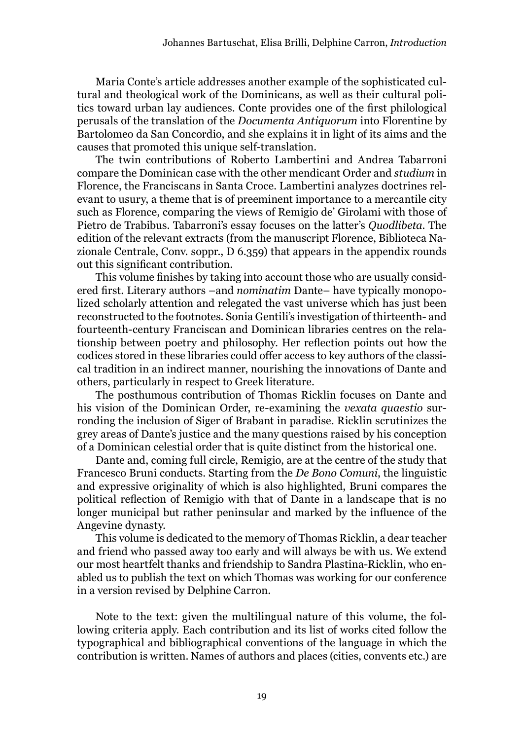Maria Conte's article addresses another example of the sophisticated cultural and theological work of the Dominicans, as well as their cultural politics toward urban lay audiences. Conte provides one of the first philological perusals of the translation of the *Documenta Antiquorum* into Florentine by Bartolomeo da San Concordio, and she explains it in light of its aims and the causes that promoted this unique self-translation.

The twin contributions of Roberto Lambertini and Andrea Tabarroni compare the Dominican case with the other mendicant Order and *studium* in Florence, the Franciscans in Santa Croce. Lambertini analyzes doctrines relevant to usury, a theme that is of preeminent importance to a mercantile city such as Florence, comparing the views of Remigio de' Girolami with those of Pietro de Trabibus. Tabarroni's essay focuses on the latter's *Quodlibeta*. The edition of the relevant extracts (from the manuscript Florence, Biblioteca Nazionale Centrale, Conv. soppr., D 6.359) that appears in the appendix rounds out this significant contribution.

This volume finishes by taking into account those who are usually considered first. Literary authors –and *nominatim* Dante– have typically monopolized scholarly attention and relegated the vast universe which has just been reconstructed to the footnotes. Sonia Gentili's investigation of thirteenth- and fourteenth-century Franciscan and Dominican libraries centres on the relationship between poetry and philosophy. Her reflection points out how the codices stored in these libraries could offer access to key authors of the classical tradition in an indirect manner, nourishing the innovations of Dante and others, particularly in respect to Greek literature.

The posthumous contribution of Thomas Ricklin focuses on Dante and his vision of the Dominican Order, re-examining the *vexata quaestio* surronding the inclusion of Siger of Brabant in paradise. Ricklin scrutinizes the grey areas of Dante's justice and the many questions raised by his conception of a Dominican celestial order that is quite distinct from the historical one.

Dante and, coming full circle, Remigio, are at the centre of the study that Francesco Bruni conducts. Starting from the *De Bono Comuni*, the linguistic and expressive originality of which is also highlighted, Bruni compares the political reflection of Remigio with that of Dante in a landscape that is no longer municipal but rather peninsular and marked by the influence of the Angevine dynasty.

This volume is dedicated to the memory of Thomas Ricklin, a dear teacher and friend who passed away too early and will always be with us. We extend our most heartfelt thanks and friendship to Sandra Plastina-Ricklin, who enabled us to publish the text on which Thomas was working for our conference in a version revised by Delphine Carron.

Note to the text: given the multilingual nature of this volume, the following criteria apply. Each contribution and its list of works cited follow the typographical and bibliographical conventions of the language in which the contribution is written. Names of authors and places (cities, convents etc.) are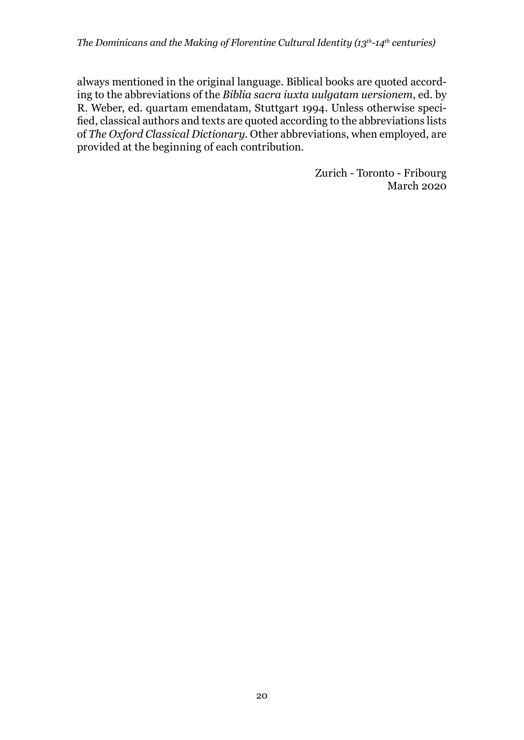always mentioned in the original language. Biblical books are quoted according to the abbreviations of the *Biblia sacra iuxta uulgatam uersionem*, ed. by R. Weber, ed. quartam emendatam, Stuttgart 1994. Unless otherwise specified, classical authors and texts are quoted according to the abbreviations lists of *The Oxford Classical Dictionary*. Other abbreviations, when employed, are provided at the beginning of each contribution.

> Zurich - Toronto - Fribourg March 2020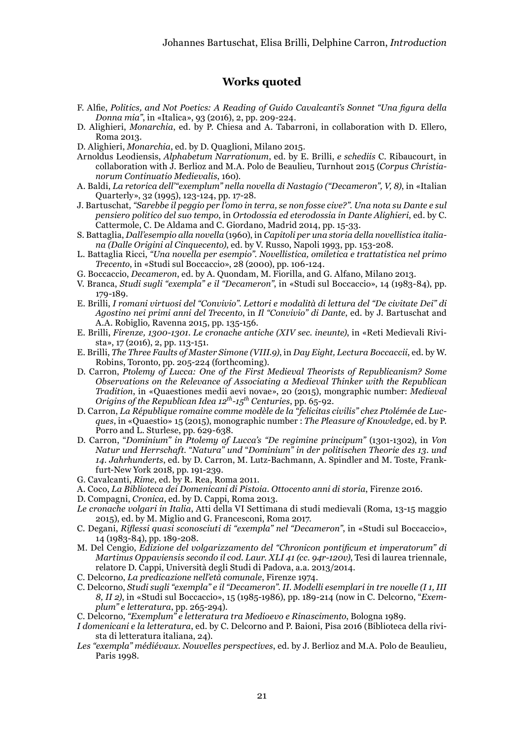## **Works quoted**

- F. Alfie, *Politics, and Not Poetics: A Reading of Guido Cavalcanti's Sonnet "Una figura della Donna mia"*, in «Italica», 93 (2016), 2, pp. 209-224.
- D. Alighieri, *Monarchia*, ed. by P. Chiesa and A. Tabarroni, in collaboration with D. Ellero, Roma 2013.
- D. Alighieri, *Monarchia*, ed. by D. Quaglioni, Milano 2015.
- Arnoldus Leodiensis, *Alphabetum Narrationum*, ed. by E. Brilli, *e schediis* C. Ribaucourt, in collaboration with J. Berlioz and M.A. Polo de Beaulieu, Turnhout 2015 (*Corpus Christianorum Continuatio Medievalis*, 160).
- A. Baldi, *La retorica dell'"exemplum" nella novella di Nastagio ("Decameron", V, 8)*, in «Italian Quarterly», 32 (1995), 123-124, pp. 17-28.
- J. Bartuschat, *"Sarebbe il peggio per l'omo in terra, se non fosse cive?". Una nota su Dante e sul pensiero politico del suo tempo*, in *Ortodossia ed eterodossia in Dante Alighieri*, ed. by C. Cattermole, C. De Aldama and C. Giordano, Madrid 2014, pp. 15-33.
- S. Battaglia, *Dall'esempio alla novella* (1960), in *Capitoli per una storia della novellistica italiana (Dalle Origini al Cinquecento)*, ed. by V. Russo, Napoli 1993, pp. 153-208.
- L. Battaglia Ricci, *"Una novella per esempio". Novellistica, omiletica e trattatistica nel primo Trecento*, in «Studi sul Boccaccio», 28 (2000), pp. 106-124.
- G. Boccaccio, *Decameron*, ed. by A. Quondam, M. Fiorilla, and G. Alfano, Milano 2013.
- V. Branca, *Studi sugli "exempla" e il "Decameron"*, in «Studi sul Boccaccio», 14 (1983-84), pp. 179-189.
- E. Brilli, *I romani virtuosi del "Convivio". Lettori e modalità di lettura del "De civitate Dei" di Agostino nei primi anni del Trecento*, in *Il "Convivio" di Dante*, ed. by J. Bartuschat and A.A. Robiglio*,* Ravenna 2015, pp. 135-156.
- E. Brilli, *Firenze, 1300-1301. Le cronache antiche (XIV sec. ineunte)*, in «Reti Medievali Rivista», 17 (2016), 2, pp. 113-151.
- E. Brilli, *The Three Faults of Master Simone (VIII.9)*, in *Day Eight, Lectura Boccaccii*, ed. by W. Robins, Toronto, pp. 205-224 (forthcoming).
- D. Carron, *Ptolemy of Lucca: One of the First Medieval Theorists of Republicanism? Some Observations on the Relevance of Associating a Medieval Thinker with the Republican Tradition*, in «Quaestiones medii aevi novae», 20 (2015), mongraphic number: *Medieval Origins of the Republican Idea 12th-15th Centuries*, pp. 65-92.
- D. Carron, *La République romaine comme modèle de la "felicitas civilis" chez Ptolémée de Lucques*, in «Quaestio» 15 (2015), monographic number : *The Pleasure of Knowledge*, ed. by P. Porro and L. Sturlese, pp. 629-638.
- D. Carron, "*Dominium" in Ptolemy of Lucca's "De regimine principum"* (1301-1302), in *Von Natur und Herrschaft.* "*Natura" und* "*Dominium" in der politischen Theorie des 13. und 14. Jahrhunderts*, ed. by D. Carron, M. Lutz-Bachmann, A. Spindler and M. Toste, Frankfurt-New York 2018, pp. 191-239.
- G. Cavalcanti, *Rime*, ed. by R. Rea, Roma 2011.
- A. Coco, *La Biblioteca dei Domenicani di Pistoia. Ottocento anni di storia*, Firenze 2016.
- D. Compagni, *Cronica*, ed. by D. Cappi, Roma 2013.
- *Le cronache volgari in Italia*, Atti della VI Settimana di studi medievali (Roma, 13-15 maggio 2015), ed. by M. Miglio and G. Francesconi, Roma 2017.
- C. Degani, *Riflessi quasi sconosciuti di "exempla" nel "Decameron"*, in «Studi sul Boccaccio», 14 (1983-84), pp. 189-208.
- M. Del Cengio, *Edizione del volgarizzamento del "Chronicon pontificum et imperatorum" di Martinus Oppaviensis secondo il cod. Laur. XLI 41 (cc. 94r-120v)*, Tesi di laurea triennale, relatore D. Cappi, Università degli Studi di Padova, a.a. 2013/2014.
- C. Delcorno, *La predicazione nell'età comunale*, Firenze 1974.
- C. Delcorno, *Studi sugli "exempla" e il "Decameron". II. Modelli esemplari in tre novelle (I 1, III 8, II 2)*, in «Studi sul Boccaccio», 15 (1985-1986), pp. 189-214 (now in C. Delcorno, "*Exemplum" e letteratura*, pp. 265-294).
- C. Delcorno, *"Exemplum" e letteratura tra Medioevo e Rinascimento*, Bologna 1989.
- *I domenicani e la letteratura*, ed. by C. Delcorno and P. Baioni, Pisa 2016 (Biblioteca della rivista di letteratura italiana, 24).
- *Les "exempla" médiévaux. Nouvelles perspectives*, ed. by J. Berlioz and M.A. Polo de Beaulieu, Paris 1998.